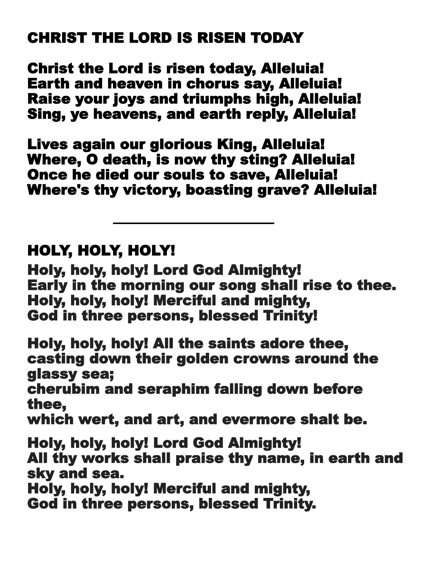## CHRIST THE LORD IS RISEN TODAY

Christ the Lord is risen today, Alleluia! Earth and heaven in chorus say, Alleluia! Raise your joys and triumphs high, Alleluia! Sing, ye heavens, and earth reply, Alleluia!

Lives again our glorious King, Alleluia! Where, O death, is now thy sting? Alleluia! Once he died our souls to save, Alleluia! Where's thy victory, boasting grave? Alleluia!

## HOLY, HOLY, HOLY!

Holy, holy, holy! Lord God Almighty! Early in the morning our song shall rise to thee. Holy, holy, holy! Merciful and mighty, God in three persons, blessed Trinity!

Holy, holy, holy! All the saints adore thee, casting down their golden crowns around the glassy sea;

cherubim and seraphim falling down before thee,

which wert, and art, and evermore shalt be.

Holy, holy, holy! Lord God Almighty! All thy works shall praise thy name, in earth and sky and sea.

Holy, holy, holy! Merciful and mighty,

God in three persons, blessed Trinity.